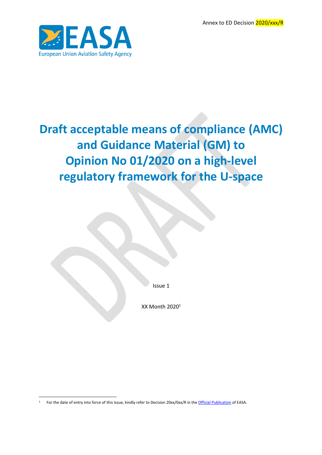Annex to ED Decision 2020/xxx/R



# **Draft acceptable means of compliance (AMC) and Guidance Material (GM) to Opinion No 01/2020 on a high-level regulatory framework for the U-space**

Issue 1

XX Month  $2020<sup>1</sup>$ 

1

<sup>&</sup>lt;sup>1</sup> For the date of entry into force of this Issue, kindly refer to Decision 20xx/0xx/R in the [Official Publication](http://easa.europa.eu/official-publication/) of EASA.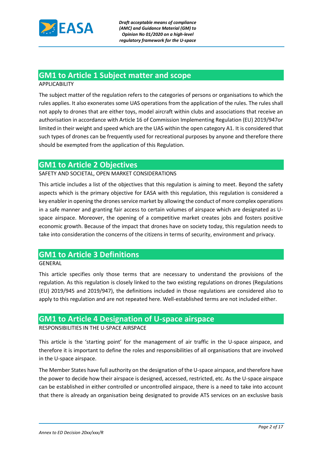

## **GM1 to Article 1 Subject matter and scope**

#### APPLICABILITY

The subject matter of the regulation refers to the categories of persons or organisations to which the rules applies. It also exonerates some UAS operations from the application of the rules. The rules shall not apply to drones that are either toys, model aircraft within clubs and associations that receive an authorisation in accordance with Article 16 of Commission Implementing Regulation (EU) 2019/947or limited in their weight and speed which are the UAS within the open category A1. It is considered that such types of drones can be frequently used for recreational purposes by anyone and therefore there should be exempted from the application of this Regulation.

### **GM1 to Article 2 Objectives**

#### SAFETY AND SOCIETAL, OPEN MARKET CONSIDERATIONS

This article includes a list of the objectives that this regulation is aiming to meet. Beyond the safety aspects which is the primary objective for EASA with this regulation, this regulation is considered a key enabler in opening the drones service market by allowing the conduct of more complex operations in a safe manner and granting fair access to certain volumes of airspace which are designated as Uspace airspace. Moreover, the opening of a competitive market creates jobs and fosters positive economic growth. Because of the impact that drones have on society today, this regulation needs to take into consideration the concerns of the citizens in terms of security, environment and privacy.

### **GM1 to Article 3 Definitions**

#### GENERAL

This article specifies only those terms that are necessary to understand the provisions of the regulation. As this regulation is closely linked to the two existing regulations on drones (Regulations (EU) 2019/945 and 2019/947), the definitions included in those regulations are considered also to apply to this regulation and are not repeated here. Well-established terms are not included either.

#### **GM1 to Article 4 Designation of U-space airspace**

#### RESPONSIBILITIES IN THE U-SPACE AIRSPACE

This article is the 'starting point' for the management of air traffic in the U-space airspace, and therefore it is important to define the roles and responsibilities of all organisations that are involved in the U-space airspace.

The Member States have full authority on the designation of the U-space airspace, and therefore have the power to decide how their airspace is designed, accessed, restricted, etc. As the U-space airspace can be established in either controlled or uncontrolled airspace, there is a need to take into account that there is already an organisation being designated to provide ATS services on an exclusive basis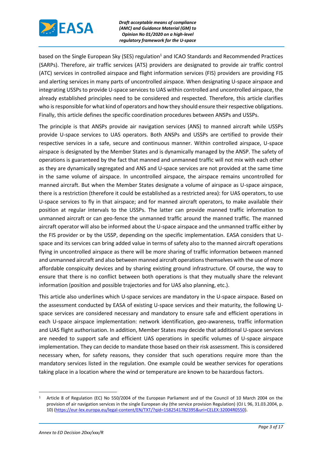

based on the Single European Sky (SES) regulation<sup>1</sup> and ICAO Standards and Recommended Practices (SARPs). Therefore, air traffic services (ATS) providers are designated to provide air traffic control (ATC) services in controlled airspace and flight information services (FIS) providers are providing FIS and alerting services in many parts of uncontrolled airspace. When designating U-space airspace and integrating USSPs to provide U-space services to UAS within controlled and uncontrolled airspace, the already established principles need to be considered and respected. Therefore, this article clarifies who is responsible for what kind of operators and how they should ensure their respective obligations. Finally, this article defines the specific coordination procedures between ANSPs and USSPs.

The principle is that ANSPs provide air navigation services (ANS) to manned aircraft while USSPs provide U-space services to UAS operators. Both ANSPs and USSPs are certified to provide their respective services in a safe, secure and continuous manner. Within controlled airspace, U-space airspace is designated by the Member States and is dynamically managed by the ANSP. The safety of operations is guaranteed by the fact that manned and unmanned traffic will not mix with each other as they are dynamically segregated and ANS and U-space services are not provided at the same time in the same volume of airspace. In uncontrolled airspace, the airspace remains uncontrolled for manned aircraft. But when the Member States designate a volume of airspace as U-space airspace, there is a restriction (therefore it could be established as a restricted area): for UAS operators, to use U-space services to fly in that airspace; and for manned aircraft operators, to make available their position at regular intervals to the USSPs. The latter can provide manned traffic information to unmanned aircraft or can geo-fence the unmanned traffic around the manned traffic. The manned aircraft operator will also be informed about the U-space airspace and the unmanned traffic either by the FIS provider or by the USSP, depending on the specific implementation. EASA considers that Uspace and its services can bring added value in terms of safety also to the manned aircraft operations flying in uncontrolled airspace as there will be more sharing of traffic information between manned and unmanned aircraft and also between manned aircraft operations themselves with the use of more affordable conspicuity devices and by sharing existing ground infrastructure. Of course, the way to ensure that there is no conflict between both operations is that they mutually share the relevant information (position and possible trajectories and for UAS also planning, etc.).

This article also underlines which U-space services are mandatory in the U-space airspace. Based on the assessment conducted by EASA of existing U-space services and their maturity, the following Uspace services are considered necessary and mandatory to ensure safe and efficient operations in each U-space airspace implementation: network identification, geo-awareness, traffic information and UAS flight authorisation. In addition, Member States may decide that additional U-space services are needed to support safe and efficient UAS operations in specific volumes of U-space airspace implementation. They can decide to mandate those based on their risk assessment. This is considered necessary when, for safety reasons, they consider that such operations require more than the mandatory services listed in the regulation. One example could be weather services for operations taking place in a location where the wind or temperature are known to be hazardous factors.

1

<sup>1</sup> Article 8 of Regulation (EC) No 550/2004 of the European Parliament and of the Council of 10 March 2004 on the provision of air navigation services in the single European sky (the service provision Regulation) (OJ L 96, 31.03.2004, p. 10) [\(https://eur-lex.europa.eu/legal-content/EN/TXT/?qid=1582541782395&uri=CELEX:32004R0550\)](https://eur-lex.europa.eu/legal-content/EN/TXT/?qid=1582541782395&uri=CELEX:32004R0550).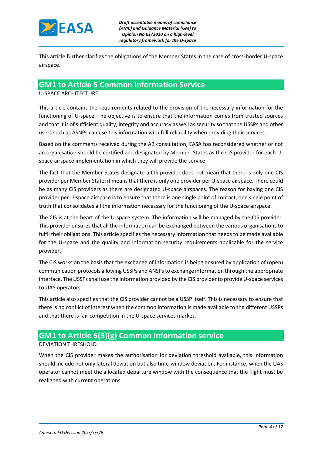

This article further clarifies the obligations of the Member States in the case of cross-border U-space airspace.

#### **GM1 to Article 5 Common Information Service**  U-SPACE ARCHITECTURE

This article contains the requirements related to the provision of the necessary information for the functioning of U-space. The objective is to ensure that the information comes from trusted sources and that it is of sufficient quality, integrity and accuracy as well as security so that the USSPs and other users such as ASNPs can use this information with full reliability when providing their services.

Based on the comments received during the AB consultation, EASA has reconsidered whether or not an organisation should be certified and designated by Member States as the CIS provider for each Uspace airspace implementation in which they will provide the service.

The fact that the Member States designate a CIS provider does not mean that there is only one CIS provider per Member State; it means that there is only one provider per U-space airspace. There could be as many CIS providers as there are designated U-space airspaces. The reason for having one CIS provider per U-space airspace is to ensure that there is one single point of contact, one single point of truth that consolidates all the information necessary for the functioning of the U-space airspace.

The CIS is at the heart of the U-space system. The information will be managed by the CIS provider. This provider ensures that all the information can be exchanged between the various organisations to fulfil their obligations. This article specifies the necessary information that needs to be made available for the U-space and the quality and information security requirements applicable for the service provider.

The CIS works on the basis that the exchange of information is being ensured by application of (open) communication protocols allowing USSPs and ANSPs to exchange information through the appropriate interface. The USSPs shall use the information provided by the CIS provider to provide U-space services to UAS operators.

This article also specifies that the CIS provider cannot be a USSP itself. This is necessary to ensure that there is no conflict of interest when the common information is made available to the different USSPs and that there is fair competition in the U-space services market.

## **GM1 to Article 5(3)(g) Common Information service**

#### DEVIATION THRESHOLD

When the CIS provider makes the authorisation for deviation threshold available, this information should include not only lateral deviation but also time-window deviation. For instance, when the UAS operator cannot meet the allocated departure window with the consequence that the flight must be realigned with current operations.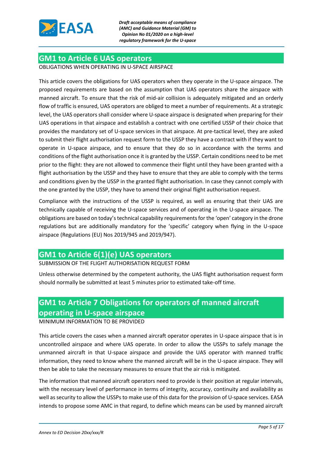

### **GM1 to Article 6 UAS operators**

OBLIGATIONS WHEN OPERATING IN U-SPACE AIRSPACE

This article covers the obligations for UAS operators when they operate in the U-space airspace. The proposed requirements are based on the assumption that UAS operators share the airspace with manned aircraft. To ensure that the risk of mid-air collision is adequately mitigated and an orderly flow of traffic is ensured, UAS operators are obliged to meet a number of requirements. At a strategic level, the UAS operators shall consider where U-space airspace is designated when preparing for their UAS operations in that airspace and establish a contract with one certified USSP of their choice that provides the mandatory set of U-space services in that airspace. At pre-tactical level, they are asked to submit their flight authorisation request form to the USSP they have a contract with if they want to operate in U-space airspace, and to ensure that they do so in accordance with the terms and conditions of the flight authorisation once it is granted by the USSP. Certain conditions need to be met prior to the flight: they are not allowed to commence their flight until they have been granted with a flight authorisation by the USSP and they have to ensure that they are able to comply with the terms and conditions given by the USSP in the granted flight authorisation. In case they cannot comply with the one granted by the USSP, they have to amend their original flight authorisation request.

Compliance with the instructions of the USSP is required, as well as ensuring that their UAS are technically capable of receiving the U-space services and of operating in the U-space airspace. The obligations are based on today's technical capability requirements for the 'open' category in the drone regulations but are additionally mandatory for the 'specific' category when flying in the U-space airspace (Regulations (EU) Nos 2019/945 and 2019/947).

## **GM1 to Article 6(1)(e) UAS operators**

SUBMISSION OF THE FLIGHT AUTHORISATION REQUEST FORM

Unless otherwise determined by the competent authority, the UAS flight authorisation request form should normally be submitted at least 5 minutes prior to estimated take-off time.

## **GM1 to Article 7 Obligations for operators of manned aircraft operating in U-space airspace**

## MINIMUM INFORMATION TO BE PROVIDED

This article covers the cases when a manned aircraft operator operates in U-space airspace that is in uncontrolled airspace and where UAS operate. In order to allow the USSPs to safely manage the unmanned aircraft in that U-space airspace and provide the UAS operator with manned traffic information, they need to know where the manned aircraft will be in the U-space airspace. They will then be able to take the necessary measures to ensure that the air risk is mitigated.

The information that manned aircraft operators need to provide is their position at regular intervals, with the necessary level of performance in terms of integrity, accuracy, continuity and availability as well as security to allow the USSPs to make use of this data for the provision of U-space services. EASA intends to propose some AMC in that regard, to define which means can be used by manned aircraft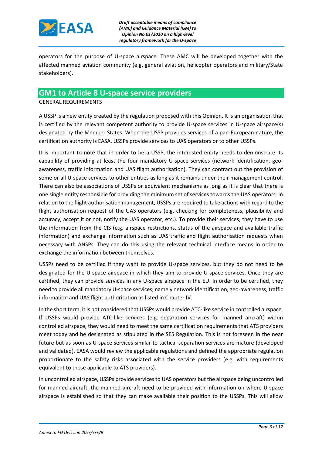

operators for the purpose of U-space airspace. These AMC will be developed together with the affected manned aviation community (e.g. general aviation, helicopter operators and military/State stakeholders).

### **GM1 to Article 8 U-space service providers**

GENERAL REQUIREMENTS

A USSP is a new entity created by the regulation proposed with this Opinion. It is an organisation that is certified by the relevant competent authority to provide U-space services in U-space airspace(s) designated by the Member States. When the USSP provides services of a pan-European nature, the certification authority is EASA. USSPs provide services to UAS operators or to other USSPs.

It is important to note that in order to be a USSP, the interested entity needs to demonstrate its capability of providing at least the four mandatory U-space services (network identification, geoawareness, traffic information and UAS flight authorisation). They can contract out the provision of some or all U-space services to other entities as long as it remains under their management control. There can also be associations of USSPs or equivalent mechanisms as long as it is clear that there is one single entity responsible for providing the minimum set of services towards the UAS operators. In relation to the flight authorisation management, USSPs are required to take actions with regard to the flight authorisation request of the UAS operators (e.g. checking for completeness, plausibility and accuracy, accept it or not, notify the UAS operator, etc.). To provide their services, they have to use the information from the CIS (e.g. airspace restrictions, status of the airspace and available traffic information) and exchange information such as UAS traffic and flight authorisation requests when necessary with ANSPs. They can do this using the relevant technical interface means in order to exchange the information between themselves.

USSPs need to be certified if they want to provide U-space services, but they do not need to be designated for the U-space airspace in which they aim to provide U-space services. Once they are certified, they can provide services in any U-space airspace in the EU. In order to be certified, they need to provide all mandatory U-space services, namely network identification, geo-awareness, traffic information and UAS flight authorisation as listed in Chapter IV.

In the short term, it is not considered that USSPs would provide ATC-like service in controlled airspace. If USSPs would provide ATC-like services (e.g. separation services for manned aircraft) within controlled airspace, they would need to meet the same certification requirements that ATS providers meet today and be designated as stipulated in the SES Regulation. This is not foreseen in the near future but as soon as U-space services similar to tactical separation services are mature (developed and validated), EASA would review the applicable regulations and defined the appropriate regulation proportionate to the safety risks associated with the service providers (e.g. with requirements equivalent to those applicable to ATS providers).

In uncontrolled airspace, USSPs provide services to UAS operators but the airspace being uncontrolled for manned aircraft, the manned aircraft need to be provided with information on where U-space airspace is established so that they can make available their position to the USSPs. This will allow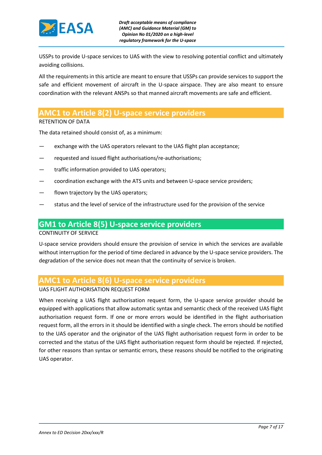

USSPs to provide U-space services to UAS with the view to resolving potential conflict and ultimately avoiding collisions.

All the requirements in this article are meant to ensure that USSPs can provide services to support the safe and efficient movement of aircraft in the U-space airspace. They are also meant to ensure coordination with the relevant ANSPs so that manned aircraft movements are safe and efficient.

## **AMC1 to Article 8(2) U-space service providers**

RETENTION OF DATA

The data retained should consist of, as a minimum:

- exchange with the UAS operators relevant to the UAS flight plan acceptance;
- requested and issued flight authorisations/re-authorisations;
- traffic information provided to UAS operators:
- coordination exchange with the ATS units and between U-space service providers;
- flown trajectory by the UAS operators;
- status and the level of service of the infrastructure used for the provision of the service

## **GM1 to Article 8(5) U-space service providers**

#### CONTINUITY OF SERVICE

U-space service providers should ensure the provision of service in which the services are available without interruption for the period of time declared in advance by the U-space service providers. The degradation of the service does not mean that the continuity of service is broken.

### **AMC1 to Article 8(6) U-space service providers**

#### UAS FLIGHT AUTHORISATION REQUEST FORM

When receiving a UAS flight authorisation request form, the U-space service provider should be equipped with applications that allow automatic syntax and semantic check of the received UAS flight authorisation request form. If one or more errors would be identified in the flight authorisation request form, all the errors in it should be identified with a single check. The errors should be notified to the UAS operator and the originator of the UAS flight authorisation request form in order to be corrected and the status of the UAS flight authorisation request form should be rejected. If rejected, for other reasons than syntax or semantic errors, these reasons should be notified to the originating UAS operator.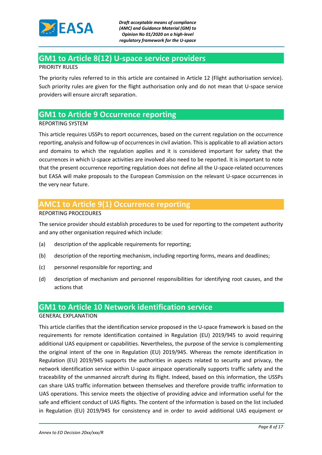

## **GM1 to Article 8(12) U-space service providers**

#### PRIORITY RULES

The priority rules referred to in this article are contained in Article 12 (Flight authorisation service). Such priority rules are given for the flight authorisation only and do not mean that U-space service providers will ensure aircraft separation.

## **GM1 to Article 9 Occurrence reporting**

#### REPORTING SYSTEM

This article requires USSPs to report occurrences, based on the current regulation on the occurrence reporting, analysis and follow-up of occurrences in civil aviation. This is applicable to all aviation actors and domains to which the regulation applies and it is considered important for safety that the occurrences in which U-space activities are involved also need to be reported. It is important to note that the present occurrence reporting regulation does not define all the U-space-related occurrences but EASA will make proposals to the European Commission on the relevant U-space occurrences in the very near future.

## **AMC1 to Article 9(1) Occurrence reporting**

#### REPORTING PROCEDURES

The service provider should establish procedures to be used for reporting to the competent authority and any other organisation required which include:

- (a) description of the applicable requirements for reporting;
- (b) description of the reporting mechanism, including reporting forms, means and deadlines;
- (c) personnel responsible for reporting; and
- (d) description of mechanism and personnel responsibilities for identifying root causes, and the actions that

## **GM1 to Article 10 Network identification service**

#### GENERAL EXPLANATION

This article clarifies that the identification service proposed in the U-space framework is based on the requirements for remote identification contained in Regulation (EU) 2019/945 to avoid requiring additional UAS equipment or capabilities. Nevertheless, the purpose of the service is complementing the original intent of the one in Regulation (EU) 2019/945. Whereas the remote identification in Regulation (EU) 2019/945 supports the authorities in aspects related to security and privacy, the network identification service within U-space airspace operationally supports traffic safety and the traceability of the unmanned aircraft during its flight. Indeed, based on this information, the USSPs can share UAS traffic information between themselves and therefore provide traffic information to UAS operations. This service meets the objective of providing advice and information useful for the safe and efficient conduct of UAS flights. The content of the information is based on the list included in Regulation (EU) 2019/945 for consistency and in order to avoid additional UAS equipment or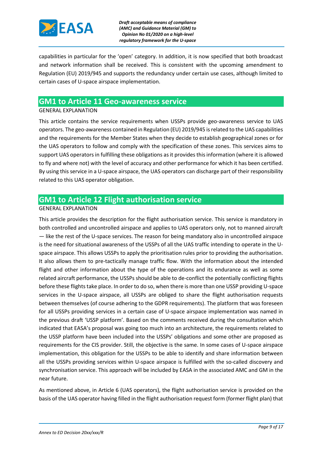

capabilities in particular for the 'open' category. In addition, it is now specified that both broadcast and network information shall be received. This is consistent with the upcoming amendment to Regulation (EU) 2019/945 and supports the redundancy under certain use cases, although limited to certain cases of U-space airspace implementation.

## **GM1 to Article 11 Geo-awareness service**

#### GENERAL EXPLANATION

This article contains the service requirements when USSPs provide geo-awareness service to UAS operators. The geo-awareness contained in Regulation (EU) 2019/945 is related to the UAS capabilities and the requirements for the Member States when they decide to establish geographical zones or for the UAS operators to follow and comply with the specification of these zones. This services aims to support UAS operators in fulfilling these obligations as it provides this information (where it is allowed to fly and where not) with the level of accuracy and other performance for which it has been certified. By using this service in a U-space airspace, the UAS operators can discharge part of their responsibility related to this UAS operator obligation.

## **GM1 to Article 12 Flight authorisation service**

#### GENERAL EXPLANATION

This article provides the description for the flight authorisation service. This service is mandatory in both controlled and uncontrolled airspace and applies to UAS operators only, not to manned aircraft — like the rest of the U-space services. The reason for being mandatory also in uncontrolled airspace is the need for situational awareness of the USSPs of all the UAS traffic intending to operate in the Uspace airspace. This allows USSPs to apply the prioritisation rules prior to providing the authorisation. It also allows them to pre-tactically manage traffic flow. With the information about the intended flight and other information about the type of the operations and its endurance as well as some related aircraft performance, the USSPs should be able to de-conflict the potentially conflicting flights before these flights take place. In order to do so, when there is more than one USSP providing U-space services in the U-space airspace, all USSPs are obliged to share the flight authorisation requests between themselves (of course adhering to the GDPR requirements). The platform that was foreseen for all USSPs providing services in a certain case of U-space airspace implementation was named in the previous draft 'USSP platform'. Based on the comments received during the consultation which indicated that EASA's proposal was going too much into an architecture, the requirements related to the USSP platform have been included into the USSPs' obligations and some other are proposed as requirements for the CIS provider. Still, the objective is the same. In some cases of U-space airspace implementation, this obligation for the USSPs to be able to identify and share information between all the USSPs providing services within U-space airspace is fulfilled with the so-called discovery and synchronisation service. This approach will be included by EASA in the associated AMC and GM in the near future.

As mentioned above, in Article 6 (UAS operators), the flight authorisation service is provided on the basis of the UAS operator having filled in the flight authorisation request form (former flight plan) that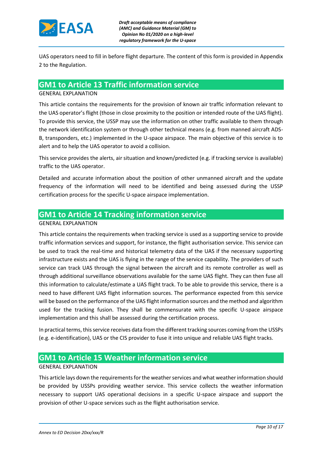

UAS operators need to fill in before flight departure. The content of this form is provided in Appendix 2 to the Regulation.

### **GM1 to Article 13 Traffic information service**

#### GENERAL EXPLANATION

This article contains the requirements for the provision of known air traffic information relevant to the UAS operator's flight (those in close proximity to the position or intended route of the UAS flight). To provide this service, the USSP may use the information on other traffic available to them through the network identification system or through other technical means (e.g. from manned aircraft ADS-B, transponders, etc.) implemented in the U-space airspace. The main objective of this service is to alert and to help the UAS operator to avoid a collision.

This service provides the alerts, air situation and known/predicted (e.g. if tracking service is available) traffic to the UAS operator.

Detailed and accurate information about the position of other unmanned aircraft and the update frequency of the information will need to be identified and being assessed during the USSP certification process for the specific U-space airspace implementation.

## **GM1 to Article 14 Tracking information service**

#### GENERAL EXPLANATION

This article contains the requirements when tracking service is used as a supporting service to provide traffic information services and support, for instance, the flight authorisation service. This service can be used to track the real-time and historical telemetry data of the UAS if the necessary supporting infrastructure exists and the UAS is flying in the range of the service capability. The providers of such service can track UAS through the signal between the aircraft and its remote controller as well as through additional surveillance observations available for the same UAS flight. They can then fuse all this information to calculate/estimate a UAS flight track. To be able to provide this service, there is a need to have different UAS flight information sources. The performance expected from this service will be based on the performance of the UAS flight information sources and the method and algorithm used for the tracking fusion. They shall be commensurate with the specific U-space airspace implementation and this shall be assessed during the certification process.

In practical terms, this service receives data from the different tracking sources coming from the USSPs (e.g. e-identification), UAS or the CIS provider to fuse it into unique and reliable UAS flight tracks.

## **GM1 to Article 15 Weather information service**

#### GENERAL EXPLANATION

This article lays down the requirements for the weather services and what weather information should be provided by USSPs providing weather service. This service collects the weather information necessary to support UAS operational decisions in a specific U-space airspace and support the provision of other U-space services such as the flight authorisation service.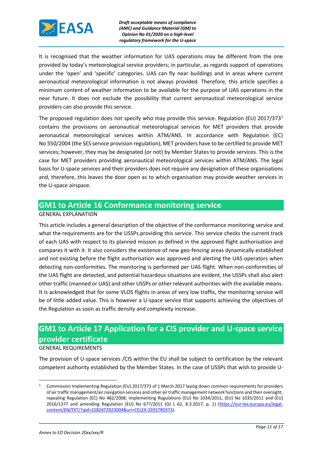

It is recognised that the weather information for UAS operations may be different from the one provided by today's meteorological service providers; in particular, as regards support of operations under the 'open' and 'specific' categories. UAS can fly near buildings and in areas where current aeronautical meteorological information is not always provided. Therefore, this article specifies a minimum content of weather information to be available for the purpose of UAS operations in the near future. It does not exclude the possibility that current aeronautical meteorological service providers can also provide this service.

The proposed regulation does not specify who may provide this service. Regulation (EU) 2017/373<sup>1</sup> contains the provisions on aeronautical meteorological services for MET providers that provide aeronautical meteorological services within ATM/ANS. In accordance with Regulation (EC) No 550/2004 (the SES service provision regulation), MET providers have to be certified to provide MET services; however, they may be designated (or not) by Member States to provide services. This is the case for MET providers providing aeronautical meteorological services within ATM/ANS. The legal basis for U-space services and their providers does not require any designation of these organisations and, therefore, this leaves the door open as to which organisation may provide weather services in the U-space airspace.

## **GM1 to Article 16 Conformance monitoring service**

#### GENERAL EXPLANATION

This article includes a general description of the objective of the conformance monitoring service and what the requirements are for the USSPs providing this service. This service checks the current track of each UAS with respect to its planned mission as defined in the approved flight authorisation and compares it with it. It also considers the existence of new geo-fencing areas dynamically established and not existing before the flight authorisation was approved and alerting the UAS operators when detecting non-conformities. The monitoring is performed per UAS flight. When non-conformities of the UAS flight are detected, and potential hazardous situations are evident, the USSPs shall also alert other traffic (manned or UAS) and other USSPs or other relevant authorities with the available means. It is acknowledged that for some VLOS flights in areas of very low traffic, the monitoring service will be of little added value. This is however a U-space service that supports achieving the objectives of the Regulation as soon as traffic density and complexity increase.

## **GM1 to Article 17 Application for a CIS provider and U-space service provider certificate** GENERAL REQUIREMENTS

#### The provision of U-space services /CIS within the EU shall be subject to certification by the relevant competent authority established by the Member States. In the case of USSPs that wish to provide U-

**.** 

<sup>1</sup> Commission Implementing Regulation (EU) 2017/373 of 1 March 2017 laying down common requirements for providers of air traffic management/air navigation services and other air traffic management network functions and their oversight, repealing Regulation (EC) No 482/2008, Implementing Regulations (EU) No 1034/2011, (EU) No 1035/2011 and (EU) 2016/1377 and amending Regulation (EU) No 677/2011 (OJ L 62, 8.3.2017, p. 1) [\(https://eur-lex.europa.eu/legal](https://eur-lex.europa.eu/legal-content/EN/TXT/?qid=1582472923004&uri=CELEX:32017R0373)[content/EN/TXT/?qid=1582472923004&uri=CELEX:32017R0373\)](https://eur-lex.europa.eu/legal-content/EN/TXT/?qid=1582472923004&uri=CELEX:32017R0373).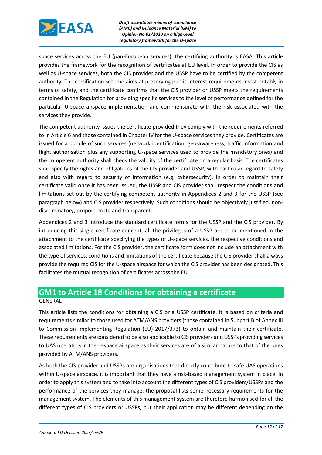

space services across the EU (pan-European services), the certifying authority is EASA. This article provides the framework for the recognition of certificates at EU level. In order to provide the CIS as well as U-space services, both the CIS provider and the USSP have to be certified by the competent authority. The certification scheme aims at preserving public interest requirements, most notably in terms of safety, and the certificate confirms that the CIS provider or USSP meets the requirements contained in the Regulation for providing specific services to the level of performance defined for the particular U-space airspace implementation and commensurate with the risk associated with the services they provide.

The competent authority issues the certificate provided they comply with the requirements referred to in Article 6 and those contained in Chapter IV for the U-space services they provide. Certificates are issued for a bundle of such services (network identification, geo-awareness, traffic information and flight authorisation plus any supporting U-space services used to provide the mandatory ones) and the competent authority shall check the validity of the certificate on a regular basis. The certificates shall specify the rights and obligations of the CIS provider and USSP, with particular regard to safety and also with regard to security of information (e.g. cybersecurity). In order to maintain their certificate valid once it has been issued, the USSP and CIS provider shall respect the conditions and limitations set out by the certifying competent authority in Appendices 2 and 3 for the USSP (see paragraph below) and CIS provider respectively. Such conditions should be objectively justified, nondiscriminatory, proportionate and transparent.

Appendices 2 and 3 introduce the standard certificate forms for the USSP and the CIS provider. By introducing this single certificate concept, all the privileges of a USSP are to be mentioned in the attachment to the certificate specifying the types of U-space services, the respective conditions and associated limitations. For the CIS provider, the certificate form does not include an attachment with the type of services, conditions and limitations of the certificate because the CIS provider shall always provide the required CIS for the U-space airspace for which the CIS provider has been designated. This facilitates the mutual recognition of certificates across the EU.

## **GM1 to Article 18 Conditions for obtaining a certificate**

#### GENERAL

This article lists the conditions for obtaining a CIS or a USSP certificate. It is based on criteria and requirements similar to those used for ATM/ANS providers (those contained in Subpart B of Annex III to Commission Implementing Regulation (EU) 2017/373) to obtain and maintain their certificate. These requirements are considered to be also applicable to CIS providers and USSPs providing services to UAS operators in the U-space airspace as their services are of a similar nature to that of the ones provided by ATM/ANS providers.

As both the CIS provider and USSPs are organisations that directly contribute to safe UAS operations within U-space airspace, it is important that they have a risk-based management system in place. In order to apply this system and to take into account the different types of CIS providers/USSPs and the performance of the services they manage, the proposal lists some necessary requirements for the management system. The elements of this management system are therefore harmonised for all the different types of CIS providers or USSPs, but their application may be different depending on the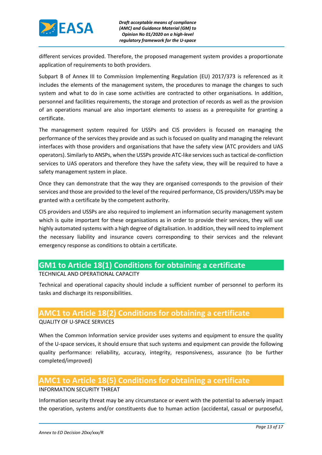

different services provided. Therefore, the proposed management system provides a proportionate application of requirements to both providers.

Subpart B of Annex III to Commission Implementing Regulation (EU) 2017/373 is referenced as it includes the elements of the management system, the procedures to manage the changes to such system and what to do in case some activities are contracted to other organisations. In addition, personnel and facilities requirements, the storage and protection of records as well as the provision of an operations manual are also important elements to assess as a prerequisite for granting a certificate.

The management system required for USSPs and CIS providers is focused on managing the performance of the services they provide and as such is focused on quality and managing the relevant interfaces with those providers and organisations that have the safety view (ATC providers and UAS operators). Similarly to ANSPs, when the USSPs provide ATC-like services such as tactical de-confliction services to UAS operators and therefore they have the safety view, they will be required to have a safety management system in place.

Once they can demonstrate that the way they are organised corresponds to the provision of their services and those are provided to the level of the required performance, CIS providers/USSPs may be granted with a certificate by the competent authority.

CIS providers and USSPs are also required to implement an information security management system which is quite important for these organisations as in order to provide their services, they will use highly automated systems with a high degree of digitalisation. In addition, they will need to implement the necessary liability and insurance covers corresponding to their services and the relevant emergency response as conditions to obtain a certificate.

## **GM1 to Article 18(1) Conditions for obtaining a certificate**

TECHNICAL AND OPERATIONAL CAPACITY

Technical and operational capacity should include a sufficient number of personnel to perform its tasks and discharge its responsibilities.

## **AMC1 to Article 18(2) Conditions for obtaining a certificate**

QUALITY OF U-SPACE SERVICES

When the Common Information service provider uses systems and equipment to ensure the quality of the U-space services, it should ensure that such systems and equipment can provide the following quality performance: reliability, accuracy, integrity, responsiveness, assurance (to be further completed/improved)

## **AMC1 to Article 18(5) Conditions for obtaining a certificate**

#### INFORMATION SECURITY THREAT

Information security threat may be any circumstance or event with the potential to adversely impact the operation, systems and/or constituents due to human action (accidental, casual or purposeful,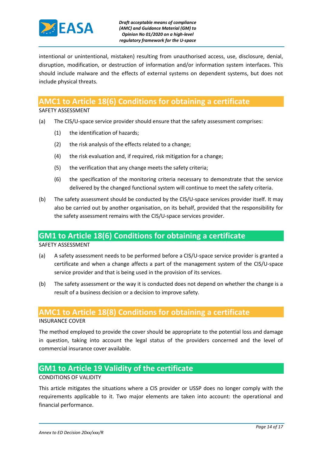

intentional or unintentional, mistaken) resulting from unauthorised access, use, disclosure, denial, disruption, modification, or destruction of information and/or information system interfaces. This should include malware and the effects of external systems on dependent systems, but does not include physical threats.

## **AMC1 to Article 18(6) Conditions for obtaining a certificate**

SAFETY ASSESSMENT

- (a) The CIS/U-space service provider should ensure that the safety assessment comprises:
	- (1) the identification of hazards;
	- (2) the risk analysis of the effects related to a change;
	- (4) the risk evaluation and, if required, risk mitigation for a change;
	- (5) the verification that any change meets the safety criteria;
	- (6) the specification of the monitoring criteria necessary to demonstrate that the service delivered by the changed functional system will continue to meet the safety criteria.
- (b) The safety assessment should be conducted by the CIS/U-space services provider itself. It may also be carried out by another organisation, on its behalf, provided that the responsibility for the safety assessment remains with the CIS/U-space services provider.

## **GM1 to Article 18(6) Conditions for obtaining a certificate**

SAFETY ASSESSMENT

- (a) A safety assessment needs to be performed before a CIS/U-space service provider is granted a certificate and when a change affects a part of the management system of the CIS/U-space service provider and that is being used in the provision of its services.
- (b) The safety assessment or the way it is conducted does not depend on whether the change is a result of a business decision or a decision to improve safety.

## **AMC1 to Article 18(8) Conditions for obtaining a certificate**

INSURANCE COVER

The method employed to provide the cover should be appropriate to the potential loss and damage in question, taking into account the legal status of the providers concerned and the level of commercial insurance cover available.

## **GM1 to Article 19 Validity of the certificate**

#### CONDITIONS OF VALIDITY

This article mitigates the situations where a CIS provider or USSP does no longer comply with the requirements applicable to it. Two major elements are taken into account: the operational and financial performance.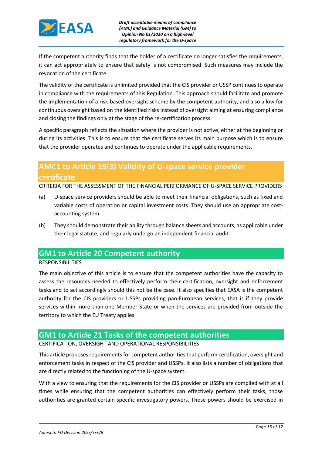

If the competent authority finds that the holder of a certificate no longer satisfies the requirements, it can act appropriately to ensure that safety is not compromised. Such measures may include the revocation of the certificate.

The validity of the certificate is unlimited provided that the CIS provider or USSP continues to operate in compliance with the requirements of this Regulation. This approach should facilitate and promote the implementation of a risk-based oversight scheme by the competent authority, and also allow for continuous oversight based on the identified risks instead of oversight aiming at ensuring compliance and closing the findings only at the stage of the re-certification process.

A specific paragraph reflects the situation where the provider is not active, either at the beginning or during its activities. This is to ensure that the certificate serves its main purpose which is to ensure that the provider operates and continues to operate under the applicable requirements.

## **AMC1 to Article 19(3) Validity of U-space service provider certificate**

CRITERIA FOR THE ASSESSMENT OF THE FINANCIAL PERFORMANCE OF U-SPACE SERVICE PROVIDERS

- (a) U-space service providers should be able to meet their financial obligations, such as fixed and variable costs of operation or capital investment costs. They should use an appropriate costaccounting system.
- (b) They should demonstrate their ability through balance sheets and accounts, as applicable under their legal statute, and regularly undergo an independent financial audit.

## **GM1 to Article 20 Competent authority**

#### RESPONSIBILITIES

The main objective of this article is to ensure that the competent authorities have the capacity to assess the resources needed to effectively perform their certification, oversight and enforcement tasks and to act accordingly should this not be the case. It also specifies that EASA is the competent authority for the CIS providers or USSPs providing pan-European services, that is if they provide services within more than one Member State or when the services are provided from outside the territory to which the EU Treaty applies.

## **GM1 to Article 21 Tasks of the competent authorities**

#### CERTIFICATION, OVERSIGHT AND OPERATIONAL RESPONSIBILITIES

This article proposes requirements for competent authorities that perform certification, oversight and enforcement tasks in respect of the CIS provider and USSPs. It also lists a number of obligations that are directly related to the functioning of the U-space system.

With a view to ensuring that the requirements for the CIS provider or USSPs are complied with at all times while ensuring that the competent authorities can effectively perform their tasks, those authorities are granted certain specific investigatory powers. Those powers should be exercised in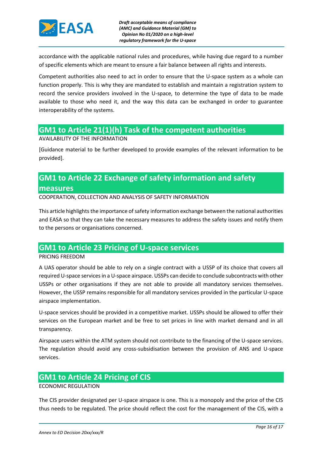

accordance with the applicable national rules and procedures, while having due regard to a number of specific elements which are meant to ensure a fair balance between all rights and interests.

Competent authorities also need to act in order to ensure that the U-space system as a whole can function properly. This is why they are mandated to establish and maintain a registration system to record the service providers involved in the U-space, to determine the type of data to be made available to those who need it, and the way this data can be exchanged in order to guarantee interoperability of the systems.

## **GM1 to Article 21(1)(h) Task of the competent authorities**

AVAILABILITY OF THE INFORMATION

[Guidance material to be further developed to provide examples of the relevant information to be provided].

# **GM1 to Article 22 Exchange of safety information and safety**

#### **measures**

COOPERATION, COLLECTION AND ANALYSIS OF SAFETY INFORMATION

This article highlights the importance of safety information exchange between the national authorities and EASA so that they can take the necessary measures to address the safety issues and notify them to the persons or organisations concerned.

## **GM1 to Article 23 Pricing of U-space services**

#### PRICING FREEDOM

A UAS operator should be able to rely on a single contract with a USSP of its choice that covers all required U-space services in a U-space airspace. USSPs can decide to conclude subcontracts with other USSPs or other organisations if they are not able to provide all mandatory services themselves. However, the USSP remains responsible for all mandatory services provided in the particular U-space airspace implementation.

U-space services should be provided in a competitive market. USSPs should be allowed to offer their services on the European market and be free to set prices in line with market demand and in all transparency.

Airspace users within the ATM system should not contribute to the financing of the U-space services. The regulation should avoid any cross-subsidisation between the provision of ANS and U-space services.

## **GM1 to Article 24 Pricing of CIS**

#### ECONOMIC REGULATION

The CIS provider designated per U-space airspace is one. This is a monopoly and the price of the CIS thus needs to be regulated. The price should reflect the cost for the management of the CIS, with a